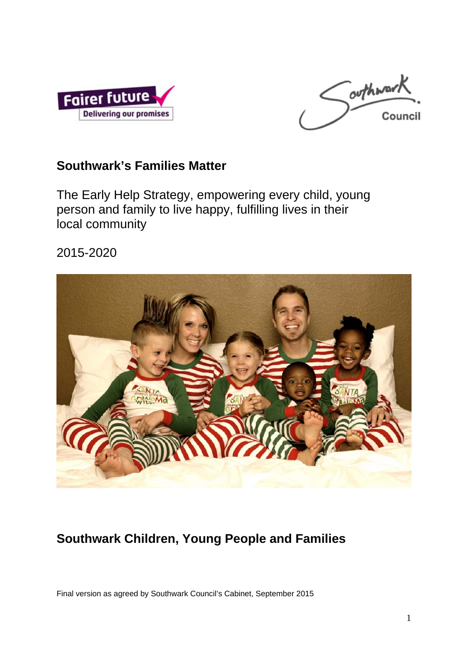



# **Southwark's Families Matter**

The Early Help Strategy, empowering every child, young person and family to live happy, fulfilling lives in their local community

2015-2020



# **Southwark Children, Young People and Families**

Final version as agreed by Southwark Council's Cabinet, September 2015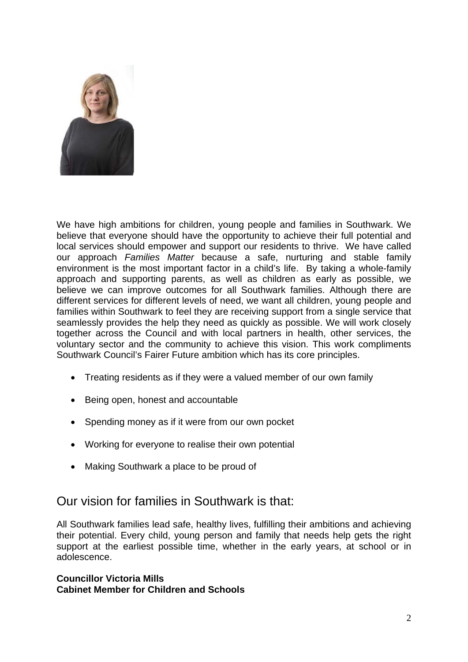

We have high ambitions for children, young people and families in Southwark. We believe that everyone should have the opportunity to achieve their full potential and local services should empower and support our residents to thrive. We have called our approach *Families Matter* because a safe, nurturing and stable family environment is the most important factor in a child's life. By taking a whole-family approach and supporting parents, as well as children as early as possible, we believe we can improve outcomes for all Southwark families. Although there are different services for different levels of need, we want all children, young people and families within Southwark to feel they are receiving support from a single service that seamlessly provides the help they need as quickly as possible. We will work closely together across the Council and with local partners in health, other services, the voluntary sector and the community to achieve this vision. This work compliments Southwark Council's Fairer Future ambition which has its core principles.

- Treating residents as if they were a valued member of our own family
- Being open, honest and accountable
- Spending money as if it were from our own pocket
- Working for everyone to realise their own potential
- Making Southwark a place to be proud of

### Our vision for families in Southwark is that:

All Southwark families lead safe, healthy lives, fulfilling their ambitions and achieving their potential. Every child, young person and family that needs help gets the right support at the earliest possible time, whether in the early years, at school or in adolescence.

#### **Councillor Victoria Mills Cabinet Member for Children and Schools**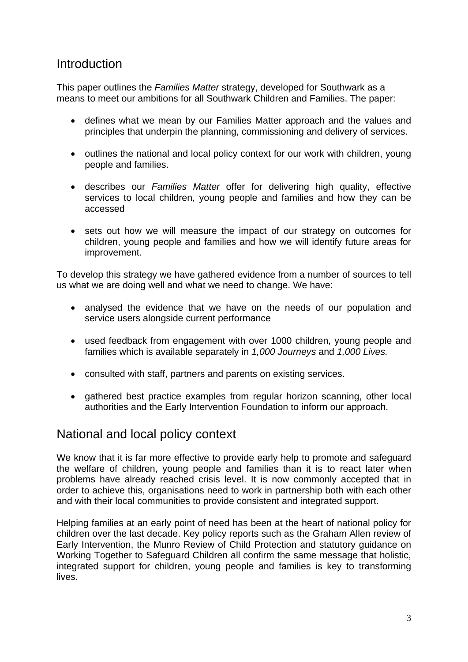### **Introduction**

This paper outlines the *Families Matter* strategy, developed for Southwark as a means to meet our ambitions for all Southwark Children and Families. The paper:

- defines what we mean by our Families Matter approach and the values and principles that underpin the planning, commissioning and delivery of services.
- outlines the national and local policy context for our work with children, young people and families.
- describes our *Families Matter* offer for delivering high quality, effective services to local children, young people and families and how they can be accessed
- sets out how we will measure the impact of our strategy on outcomes for children, young people and families and how we will identify future areas for improvement.

To develop this strategy we have gathered evidence from a number of sources to tell us what we are doing well and what we need to change. We have:

- analysed the evidence that we have on the needs of our population and service users alongside current performance
- used feedback from engagement with over 1000 children, young people and families which is available separately in *1,000 Journeys* and *1,000 Lives.*
- consulted with staff, partners and parents on existing services.
- gathered best practice examples from regular horizon scanning, other local authorities and the Early Intervention Foundation to inform our approach.

### National and local policy context

We know that it is far more effective to provide early help to promote and safeguard the welfare of children, young people and families than it is to react later when problems have already reached crisis level. It is now commonly accepted that in order to achieve this, organisations need to work in partnership both with each other and with their local communities to provide consistent and integrated support.

Helping families at an early point of need has been at the heart of national policy for children over the last decade. Key policy reports such as the Graham Allen review of Early Intervention, the Munro Review of Child Protection and statutory guidance on Working Together to Safeguard Children all confirm the same message that holistic, integrated support for children, young people and families is key to transforming lives.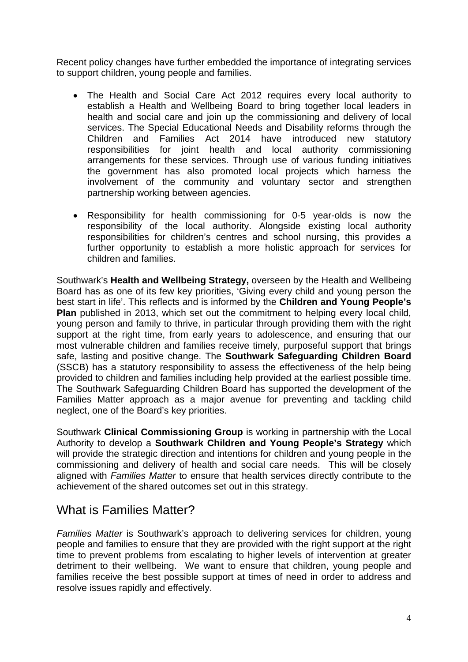Recent policy changes have further embedded the importance of integrating services to support children, young people and families.

- The Health and Social Care Act 2012 requires every local authority to establish a Health and Wellbeing Board to bring together local leaders in health and social care and join up the commissioning and delivery of local services. The Special Educational Needs and Disability reforms through the Children and Families Act 2014 have introduced new statutory responsibilities for joint health and local authority commissioning arrangements for these services. Through use of various funding initiatives the government has also promoted local projects which harness the involvement of the community and voluntary sector and strengthen partnership working between agencies.
- Responsibility for health commissioning for 0-5 year-olds is now the responsibility of the local authority. Alongside existing local authority responsibilities for children's centres and school nursing, this provides a further opportunity to establish a more holistic approach for services for children and families.

Southwark's **Health and Wellbeing Strategy,** overseen by the Health and Wellbeing Board has as one of its few key priorities, 'Giving every child and young person the best start in life'. This reflects and is informed by the **Children and Young People's Plan** published in 2013, which set out the commitment to helping every local child, young person and family to thrive, in particular through providing them with the right support at the right time, from early years to adolescence, and ensuring that our most vulnerable children and families receive timely, purposeful support that brings safe, lasting and positive change. The **Southwark Safeguarding Children Board**  (SSCB) has a statutory responsibility to assess the effectiveness of the help being provided to children and families including help provided at the earliest possible time. The Southwark Safeguarding Children Board has supported the development of the Families Matter approach as a major avenue for preventing and tackling child neglect, one of the Board's key priorities.

Southwark **Clinical Commissioning Group** is working in partnership with the Local Authority to develop a **Southwark Children and Young People's Strategy** which will provide the strategic direction and intentions for children and young people in the commissioning and delivery of health and social care needs. This will be closely aligned with *Families Matter* to ensure that health services directly contribute to the achievement of the shared outcomes set out in this strategy.

### What is Families Matter?

*Families Matter* is Southwark's approach to delivering services for children, young people and families to ensure that they are provided with the right support at the right time to prevent problems from escalating to higher levels of intervention at greater detriment to their wellbeing. We want to ensure that children, young people and families receive the best possible support at times of need in order to address and resolve issues rapidly and effectively.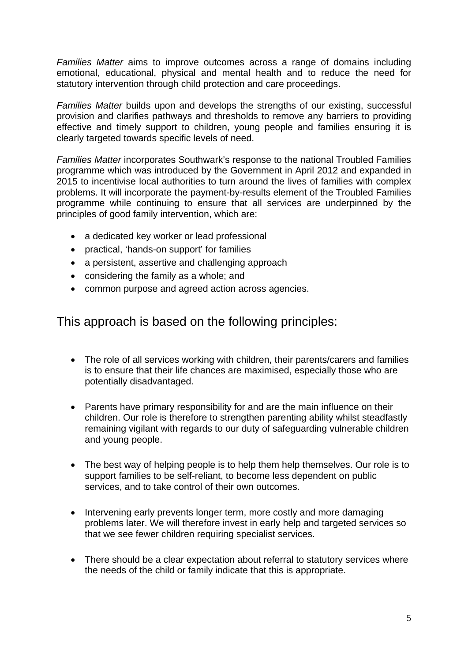*Families Matter* aims to improve outcomes across a range of domains including emotional, educational, physical and mental health and to reduce the need for statutory intervention through child protection and care proceedings.

*Families Matter* builds upon and develops the strengths of our existing, successful provision and clarifies pathways and thresholds to remove any barriers to providing effective and timely support to children, young people and families ensuring it is clearly targeted towards specific levels of need.

*Families Matter* incorporates Southwark's response to the national Troubled Families programme which was introduced by the Government in April 2012 and expanded in 2015 to incentivise local authorities to turn around the lives of families with complex problems. It will incorporate the payment-by-results element of the Troubled Families programme while continuing to ensure that all services are underpinned by the principles of good family intervention, which are:

- a dedicated key worker or lead professional
- practical, 'hands-on support' for families
- a persistent, assertive and challenging approach
- considering the family as a whole; and
- common purpose and agreed action across agencies.

This approach is based on the following principles:

- The role of all services working with children, their parents/carers and families is to ensure that their life chances are maximised, especially those who are potentially disadvantaged.
- Parents have primary responsibility for and are the main influence on their children. Our role is therefore to strengthen parenting ability whilst steadfastly remaining vigilant with regards to our duty of safeguarding vulnerable children and young people.
- The best way of helping people is to help them help themselves. Our role is to support families to be self-reliant, to become less dependent on public services, and to take control of their own outcomes.
- Intervening early prevents longer term, more costly and more damaging problems later. We will therefore invest in early help and targeted services so that we see fewer children requiring specialist services.
- There should be a clear expectation about referral to statutory services where the needs of the child or family indicate that this is appropriate.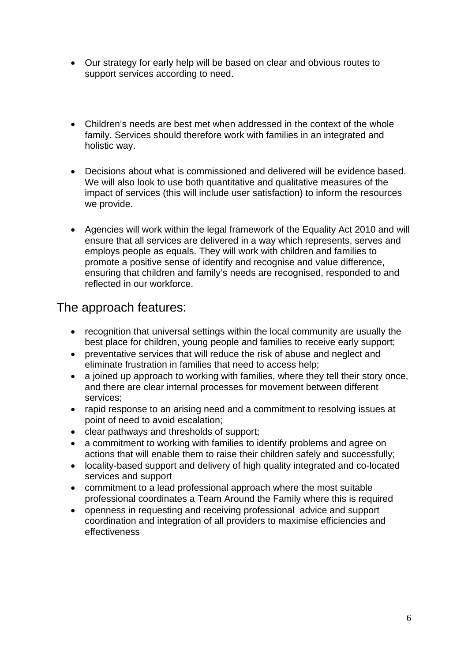- Our strategy for early help will be based on clear and obvious routes to support services according to need.
- Children's needs are best met when addressed in the context of the whole family. Services should therefore work with families in an integrated and holistic way.
- Decisions about what is commissioned and delivered will be evidence based. We will also look to use both quantitative and qualitative measures of the impact of services (this will include user satisfaction) to inform the resources we provide.
- Agencies will work within the legal framework of the Equality Act 2010 and will ensure that all services are delivered in a way which represents, serves and employs people as equals. They will work with children and families to promote a positive sense of identify and recognise and value difference, ensuring that children and family's needs are recognised, responded to and reflected in our workforce.

### The approach features:

- recognition that universal settings within the local community are usually the best place for children, young people and families to receive early support;
- preventative services that will reduce the risk of abuse and neglect and eliminate frustration in families that need to access help;
- a joined up approach to working with families, where they tell their story once, and there are clear internal processes for movement between different services;
- rapid response to an arising need and a commitment to resolving issues at point of need to avoid escalation;
- clear pathways and thresholds of support;
- a commitment to working with families to identify problems and agree on actions that will enable them to raise their children safely and successfully;
- locality-based support and delivery of high quality integrated and co-located services and support
- commitment to a lead professional approach where the most suitable professional coordinates a Team Around the Family where this is required
- openness in requesting and receiving professional advice and support coordination and integration of all providers to maximise efficiencies and effectiveness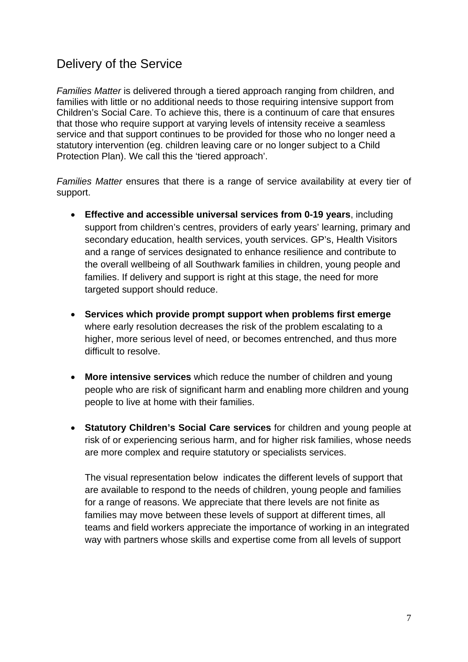# Delivery of the Service

*Families Matter* is delivered through a tiered approach ranging from children, and families with little or no additional needs to those requiring intensive support from Children's Social Care. To achieve this, there is a continuum of care that ensures that those who require support at varying levels of intensity receive a seamless service and that support continues to be provided for those who no longer need a statutory intervention (eg. children leaving care or no longer subject to a Child Protection Plan). We call this the 'tiered approach'.

*Families Matter* ensures that there is a range of service availability at every tier of support.

- **Effective and accessible universal services from 0-19 years**, including support from children's centres, providers of early years' learning, primary and secondary education, health services, youth services. GP's, Health Visitors and a range of services designated to enhance resilience and contribute to the overall wellbeing of all Southwark families in children, young people and families. If delivery and support is right at this stage, the need for more targeted support should reduce.
- **Services which provide prompt support when problems first emerge** where early resolution decreases the risk of the problem escalating to a higher, more serious level of need, or becomes entrenched, and thus more difficult to resolve.
- **More intensive services** which reduce the number of children and young people who are risk of significant harm and enabling more children and young people to live at home with their families.
- **Statutory Children's Social Care services** for children and young people at risk of or experiencing serious harm, and for higher risk families, whose needs are more complex and require statutory or specialists services.

The visual representation below indicates the different levels of support that are available to respond to the needs of children, young people and families for a range of reasons. We appreciate that there levels are not finite as families may move between these levels of support at different times, all teams and field workers appreciate the importance of working in an integrated way with partners whose skills and expertise come from all levels of support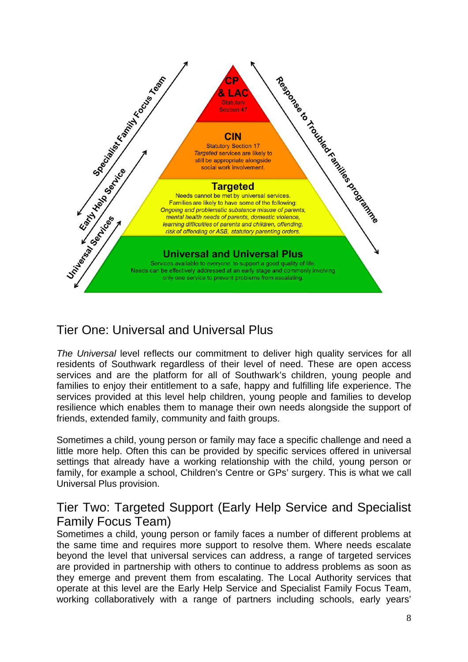

# Tier One: Universal and Universal Plus

*The Universal* level reflects our commitment to deliver high quality services for all residents of Southwark regardless of their level of need. These are open access services and are the platform for all of Southwark's children, young people and families to enjoy their entitlement to a safe, happy and fulfilling life experience. The services provided at this level help children, young people and families to develop resilience which enables them to manage their own needs alongside the support of friends, extended family, community and faith groups.

Sometimes a child, young person or family may face a specific challenge and need a little more help. Often this can be provided by specific services offered in universal settings that already have a working relationship with the child, young person or family, for example a school, Children's Centre or GPs' surgery. This is what we call Universal Plus provision.

# Tier Two: Targeted Support (Early Help Service and Specialist Family Focus Team)

Sometimes a child, young person or family faces a number of different problems at the same time and requires more support to resolve them. Where needs escalate beyond the level that universal services can address, a range of targeted services are provided in partnership with others to continue to address problems as soon as they emerge and prevent them from escalating. The Local Authority services that operate at this level are the Early Help Service and Specialist Family Focus Team, working collaboratively with a range of partners including schools, early years'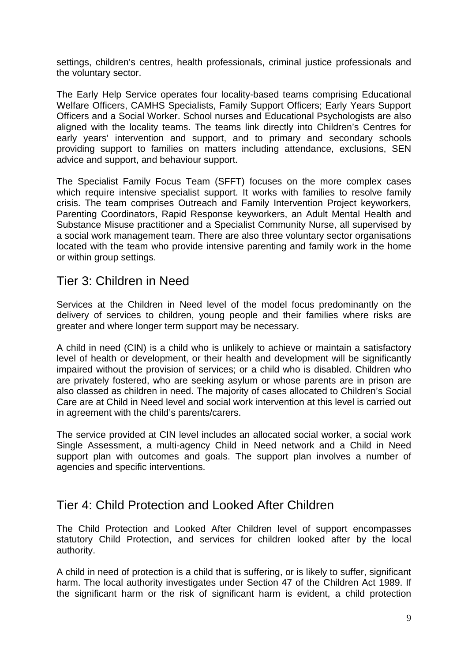settings, children's centres, health professionals, criminal justice professionals and the voluntary sector.

The Early Help Service operates four locality-based teams comprising Educational Welfare Officers, CAMHS Specialists, Family Support Officers; Early Years Support Officers and a Social Worker. School nurses and Educational Psychologists are also aligned with the locality teams. The teams link directly into Children's Centres for early years' intervention and support, and to primary and secondary schools providing support to families on matters including attendance, exclusions, SEN advice and support, and behaviour support.

The Specialist Family Focus Team (SFFT) focuses on the more complex cases which require intensive specialist support. It works with families to resolve family crisis. The team comprises Outreach and Family Intervention Project keyworkers, Parenting Coordinators, Rapid Response keyworkers, an Adult Mental Health and Substance Misuse practitioner and a Specialist Community Nurse, all supervised by a social work management team. There are also three voluntary sector organisations located with the team who provide intensive parenting and family work in the home or within group settings.

### Tier 3: Children in Need

Services at the Children in Need level of the model focus predominantly on the delivery of services to children, young people and their families where risks are greater and where longer term support may be necessary.

A child in need (CIN) is a child who is unlikely to achieve or maintain a satisfactory level of health or development, or their health and development will be significantly impaired without the provision of services; or a child who is disabled. Children who are privately fostered, who are seeking asylum or whose parents are in prison are also classed as children in need. The majority of cases allocated to Children's Social Care are at Child in Need level and social work intervention at this level is carried out in agreement with the child's parents/carers.

The service provided at CIN level includes an allocated social worker, a social work Single Assessment, a multi-agency Child in Need network and a Child in Need support plan with outcomes and goals. The support plan involves a number of agencies and specific interventions.

### Tier 4: Child Protection and Looked After Children

The Child Protection and Looked After Children level of support encompasses statutory Child Protection, and services for children looked after by the local authority.

A child in need of protection is a child that is suffering, or is likely to suffer, significant harm. The local authority investigates under Section 47 of the Children Act 1989. If the significant harm or the risk of significant harm is evident, a child protection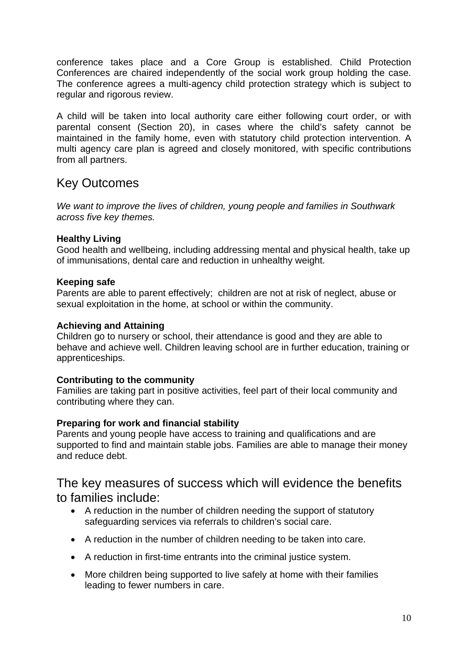conference takes place and a Core Group is established. Child Protection Conferences are chaired independently of the social work group holding the case. The conference agrees a multi-agency child protection strategy which is subject to regular and rigorous review.

A child will be taken into local authority care either following court order, or with parental consent (Section 20), in cases where the child's safety cannot be maintained in the family home, even with statutory child protection intervention. A multi agency care plan is agreed and closely monitored, with specific contributions from all partners.

# Key Outcomes

*We want to improve the lives of children, young people and families in Southwark across five key themes.* 

#### **Healthy Living**

Good health and wellbeing, including addressing mental and physical health, take up of immunisations, dental care and reduction in unhealthy weight.

#### **Keeping safe**

Parents are able to parent effectively; children are not at risk of neglect, abuse or sexual exploitation in the home, at school or within the community.

#### **Achieving and Attaining**

Children go to nursery or school, their attendance is good and they are able to behave and achieve well. Children leaving school are in further education, training or apprenticeships.

#### **Contributing to the community**

Families are taking part in positive activities, feel part of their local community and contributing where they can.

#### **Preparing for work and financial stability**

Parents and young people have access to training and qualifications and are supported to find and maintain stable jobs. Families are able to manage their money and reduce debt.

### The key measures of success which will evidence the benefits to families include:

- A reduction in the number of children needing the support of statutory safeguarding services via referrals to children's social care.
- A reduction in the number of children needing to be taken into care.
- A reduction in first-time entrants into the criminal justice system.
- More children being supported to live safely at home with their families leading to fewer numbers in care.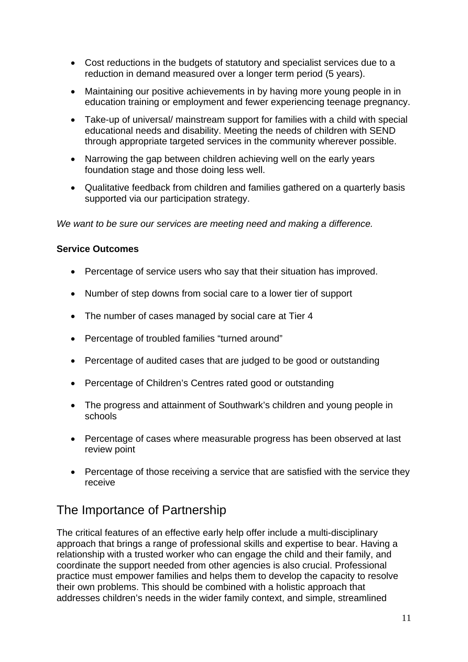- Cost reductions in the budgets of statutory and specialist services due to a reduction in demand measured over a longer term period (5 years).
- Maintaining our positive achievements in by having more young people in in education training or employment and fewer experiencing teenage pregnancy.
- Take-up of universal/ mainstream support for families with a child with special educational needs and disability. Meeting the needs of children with SEND through appropriate targeted services in the community wherever possible.
- Narrowing the gap between children achieving well on the early years foundation stage and those doing less well.
- Qualitative feedback from children and families gathered on a quarterly basis supported via our participation strategy.

*We want to be sure our services are meeting need and making a difference.* 

#### **Service Outcomes**

- Percentage of service users who say that their situation has improved.
- Number of step downs from social care to a lower tier of support
- The number of cases managed by social care at Tier 4
- Percentage of troubled families "turned around"
- Percentage of audited cases that are judged to be good or outstanding
- Percentage of Children's Centres rated good or outstanding
- The progress and attainment of Southwark's children and young people in schools
- Percentage of cases where measurable progress has been observed at last review point
- Percentage of those receiving a service that are satisfied with the service they receive

# The Importance of Partnership

The critical features of an effective early help offer include a multi-disciplinary approach that brings a range of professional skills and expertise to bear. Having a relationship with a trusted worker who can engage the child and their family, and coordinate the support needed from other agencies is also crucial. Professional practice must empower families and helps them to develop the capacity to resolve their own problems. This should be combined with a holistic approach that addresses children's needs in the wider family context, and simple, streamlined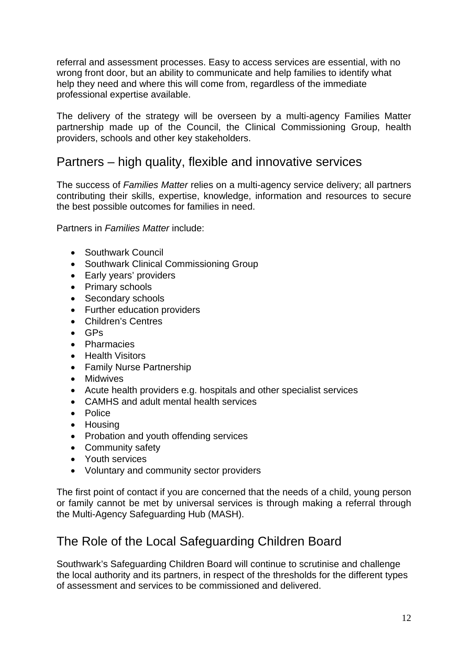referral and assessment processes. Easy to access services are essential, with no wrong front door, but an ability to communicate and help families to identify what help they need and where this will come from, regardless of the immediate professional expertise available.

The delivery of the strategy will be overseen by a multi-agency Families Matter partnership made up of the Council, the Clinical Commissioning Group, health providers, schools and other key stakeholders.

## Partners – high quality, flexible and innovative services

The success of *Families Matter* relies on a multi-agency service delivery; all partners contributing their skills, expertise, knowledge, information and resources to secure the best possible outcomes for families in need.

Partners in *Families Matter* include:

- Southwark Council
- Southwark Clinical Commissioning Group
- Early years' providers
- Primary schools
- Secondary schools
- Further education providers
- Children's Centres
- $-$  GPs
- Pharmacies
- Health Visitors
- Family Nurse Partnership
- Midwives
- Acute health providers e.g. hospitals and other specialist services
- CAMHS and adult mental health services
- Police
- Housing
- Probation and youth offending services
- Community safety
- Youth services
- Voluntary and community sector providers

The first point of contact if you are concerned that the needs of a child, young person or family cannot be met by universal services is through making a referral through the Multi-Agency Safeguarding Hub (MASH).

# The Role of the Local Safeguarding Children Board

Southwark's Safeguarding Children Board will continue to scrutinise and challenge the local authority and its partners, in respect of the thresholds for the different types of assessment and services to be commissioned and delivered.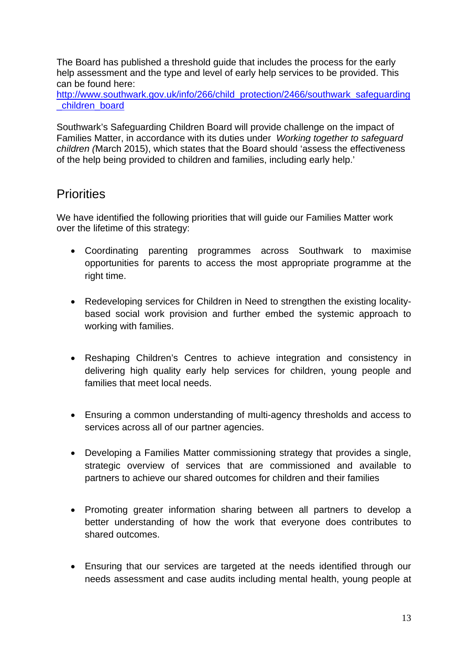The Board has published a threshold guide that includes the process for the early help assessment and the type and level of early help services to be provided. This can be found here:

http://www.southwark.gov.uk/info/266/child\_protection/2466/southwark\_safeguarding \_children\_board

Southwark's Safeguarding Children Board will provide challenge on the impact of Families Matter, in accordance with its duties under *Working together to safeguard children (*March 2015), which states that the Board should 'assess the effectiveness of the help being provided to children and families, including early help.'

# **Priorities**

We have identified the following priorities that will guide our Families Matter work over the lifetime of this strategy:

- Coordinating parenting programmes across Southwark to maximise opportunities for parents to access the most appropriate programme at the right time.
- Redeveloping services for Children in Need to strengthen the existing localitybased social work provision and further embed the systemic approach to working with families.
- Reshaping Children's Centres to achieve integration and consistency in delivering high quality early help services for children, young people and families that meet local needs.
- Ensuring a common understanding of multi-agency thresholds and access to services across all of our partner agencies.
- Developing a Families Matter commissioning strategy that provides a single, strategic overview of services that are commissioned and available to partners to achieve our shared outcomes for children and their families
- Promoting greater information sharing between all partners to develop a better understanding of how the work that everyone does contributes to shared outcomes.
- Ensuring that our services are targeted at the needs identified through our needs assessment and case audits including mental health, young people at